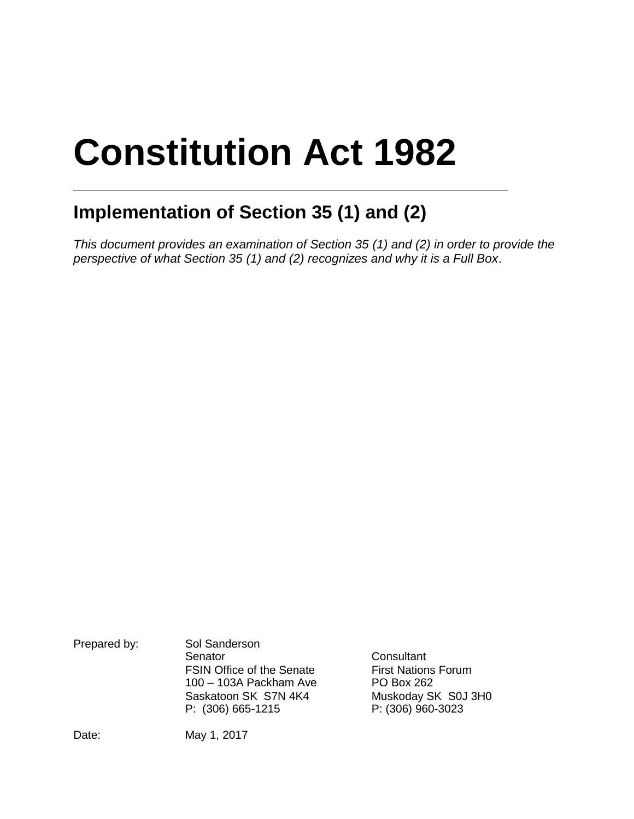# **Constitution Act 1982**

## **Implementation of Section 35 (1) and (2)**

*This document provides an examination of Section 35 (1) and (2) in order to provide the perspective of what Section 35 (1) and (2) recognizes and why it is a Full Box*.

| Prepared by: | Sol Sanderson                    |
|--------------|----------------------------------|
|              | Senator                          |
|              | <b>FSIN Office of the Senate</b> |
|              | 100 - 103A Packham Ave           |
|              | Saskatoon SK S7N 4K4             |
|              | P: (306) 665-1215                |

Consultant First Nations Forum PO Box 262 Muskoday SK S0J 3H0 P: (306) 960-3023

Date: May 1, 2017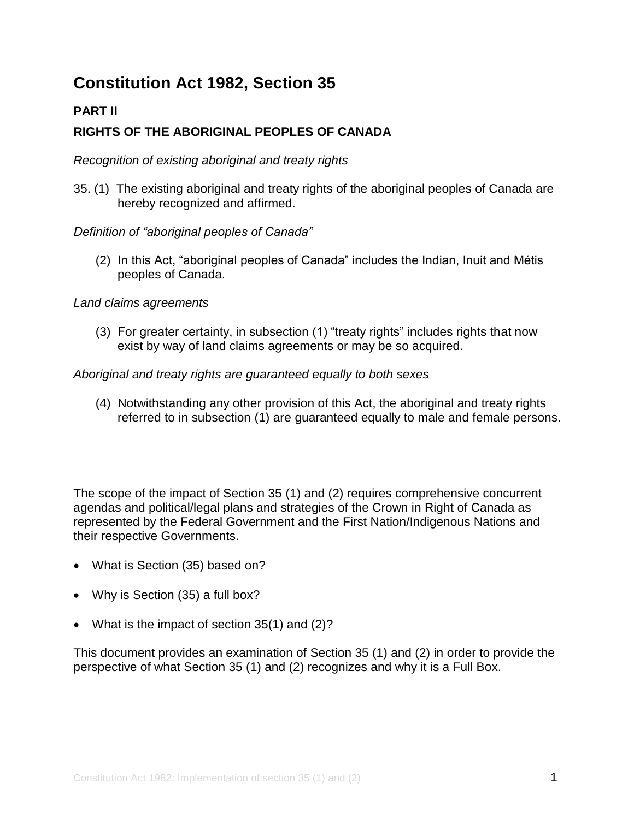### **Constitution Act 1982, Section 35**

#### **PART II**

#### **RIGHTS OF THE ABORIGINAL PEOPLES OF CANADA**

*Recognition of existing aboriginal and treaty rights*

35. (1) The existing aboriginal and treaty rights of the aboriginal peoples of Canada are hereby recognized and affirmed.

*Definition of "aboriginal peoples of Canada"*

(2) In this Act, "aboriginal peoples of Canada" includes the Indian, Inuit and Métis peoples of Canada.

*Land claims agreements*

(3) For greater certainty, in subsection (1) "treaty rights" includes rights that now exist by way of land claims agreements or may be so acquired.

#### *Aboriginal and treaty rights are guaranteed equally to both sexes*

(4) Notwithstanding any other provision of this Act, the aboriginal and treaty rights referred to in subsection (1) are guaranteed equally to male and female persons.

The scope of the impact of Section 35 (1) and (2) requires comprehensive concurrent agendas and political/legal plans and strategies of the Crown in Right of Canada as represented by the Federal Government and the First Nation/Indigenous Nations and their respective Governments.

- What is Section (35) based on?
- Why is Section (35) a full box?
- What is the impact of section 35(1) and (2)?

This document provides an examination of Section 35 (1) and (2) in order to provide the perspective of what Section 35 (1) and (2) recognizes and why it is a Full Box.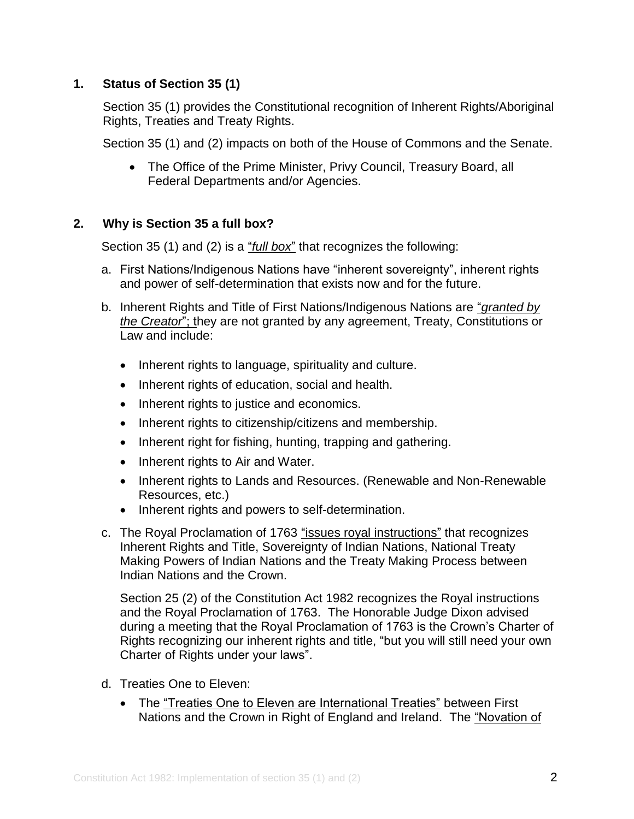#### **1. Status of Section 35 (1)**

Section 35 (1) provides the Constitutional recognition of Inherent Rights/Aboriginal Rights, Treaties and Treaty Rights.

Section 35 (1) and (2) impacts on both of the House of Commons and the Senate.

• The Office of the Prime Minister, Privy Council, Treasury Board, all Federal Departments and/or Agencies.

#### **2. Why is Section 35 a full box?**

Section 35 (1) and (2) is a "*full box*" that recognizes the following:

- a. First Nations/Indigenous Nations have "inherent sovereignty", inherent rights and power of self-determination that exists now and for the future.
- b. Inherent Rights and Title of First Nations/Indigenous Nations are "*granted by the Creator*"; they are not granted by any agreement, Treaty, Constitutions or Law and include:
	- Inherent rights to language, spirituality and culture.
	- Inherent rights of education, social and health.
	- Inherent rights to justice and economics.
	- Inherent rights to citizenship/citizens and membership.
	- Inherent right for fishing, hunting, trapping and gathering.
	- Inherent rights to Air and Water.
	- Inherent rights to Lands and Resources. (Renewable and Non-Renewable Resources, etc.)
	- Inherent rights and powers to self-determination.
- c. The Royal Proclamation of 1763 "issues royal instructions" that recognizes Inherent Rights and Title, Sovereignty of Indian Nations, National Treaty Making Powers of Indian Nations and the Treaty Making Process between Indian Nations and the Crown.

Section 25 (2) of the Constitution Act 1982 recognizes the Royal instructions and the Royal Proclamation of 1763. The Honorable Judge Dixon advised during a meeting that the Royal Proclamation of 1763 is the Crown's Charter of Rights recognizing our inherent rights and title, "but you will still need your own Charter of Rights under your laws".

- d. Treaties One to Eleven:
	- The "Treaties One to Eleven are International Treaties" between First Nations and the Crown in Right of England and Ireland. The "Novation of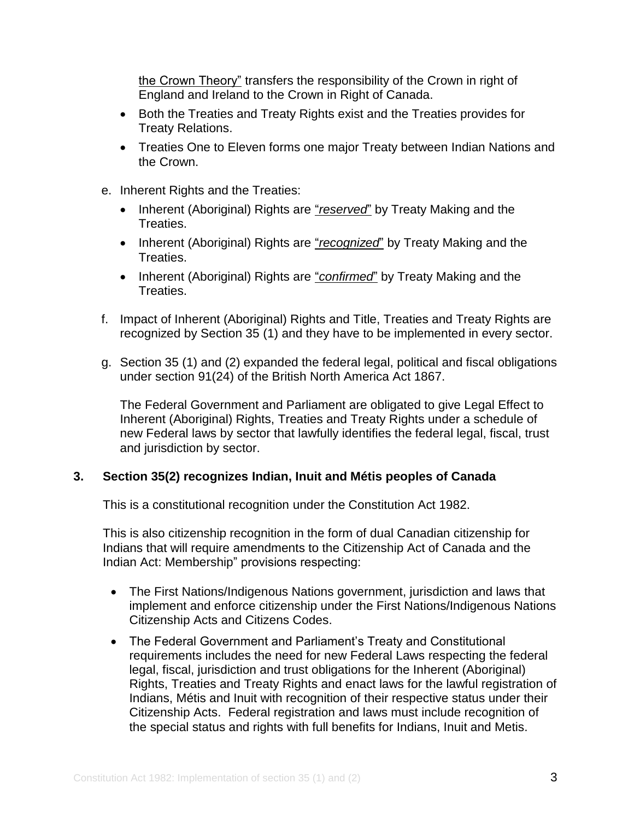the Crown Theory" transfers the responsibility of the Crown in right of England and Ireland to the Crown in Right of Canada.

- Both the Treaties and Treaty Rights exist and the Treaties provides for Treaty Relations.
- Treaties One to Eleven forms one major Treaty between Indian Nations and the Crown.
- e. Inherent Rights and the Treaties:
	- Inherent (Aboriginal) Rights are "*reserved*" by Treaty Making and the Treaties.
	- Inherent (Aboriginal) Rights are "*recognized*" by Treaty Making and the Treaties.
	- Inherent (Aboriginal) Rights are "*confirmed*" by Treaty Making and the Treaties.
- f. Impact of Inherent (Aboriginal) Rights and Title, Treaties and Treaty Rights are recognized by Section 35 (1) and they have to be implemented in every sector.
- g. Section 35 (1) and (2) expanded the federal legal, political and fiscal obligations under section 91(24) of the British North America Act 1867.

The Federal Government and Parliament are obligated to give Legal Effect to Inherent (Aboriginal) Rights, Treaties and Treaty Rights under a schedule of new Federal laws by sector that lawfully identifies the federal legal, fiscal, trust and jurisdiction by sector.

#### **3. Section 35(2) recognizes Indian, Inuit and Métis peoples of Canada**

This is a constitutional recognition under the Constitution Act 1982.

This is also citizenship recognition in the form of dual Canadian citizenship for Indians that will require amendments to the Citizenship Act of Canada and the Indian Act: Membership" provisions respecting:

- The First Nations/Indigenous Nations government, jurisdiction and laws that implement and enforce citizenship under the First Nations/Indigenous Nations Citizenship Acts and Citizens Codes.
- The Federal Government and Parliament's Treaty and Constitutional requirements includes the need for new Federal Laws respecting the federal legal, fiscal, jurisdiction and trust obligations for the Inherent (Aboriginal) Rights, Treaties and Treaty Rights and enact laws for the lawful registration of Indians, Métis and Inuit with recognition of their respective status under their Citizenship Acts. Federal registration and laws must include recognition of the special status and rights with full benefits for Indians, Inuit and Metis.